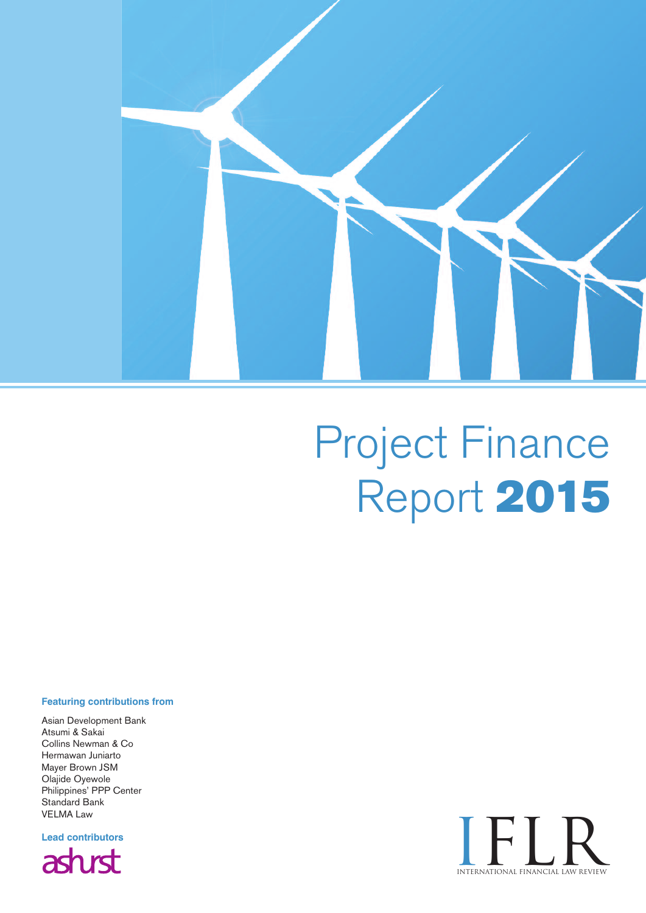

# Project Finance Report **2015**

#### **Featuring contributions from**

Asian Development Bank Atsumi & Sakai Collins Newman & Co Hermawan Juniarto Mayer Brown JSM Olajide Oyewole Philippines' PPP Center Standard Bank VELMA Law

**Lead contributors** asturst

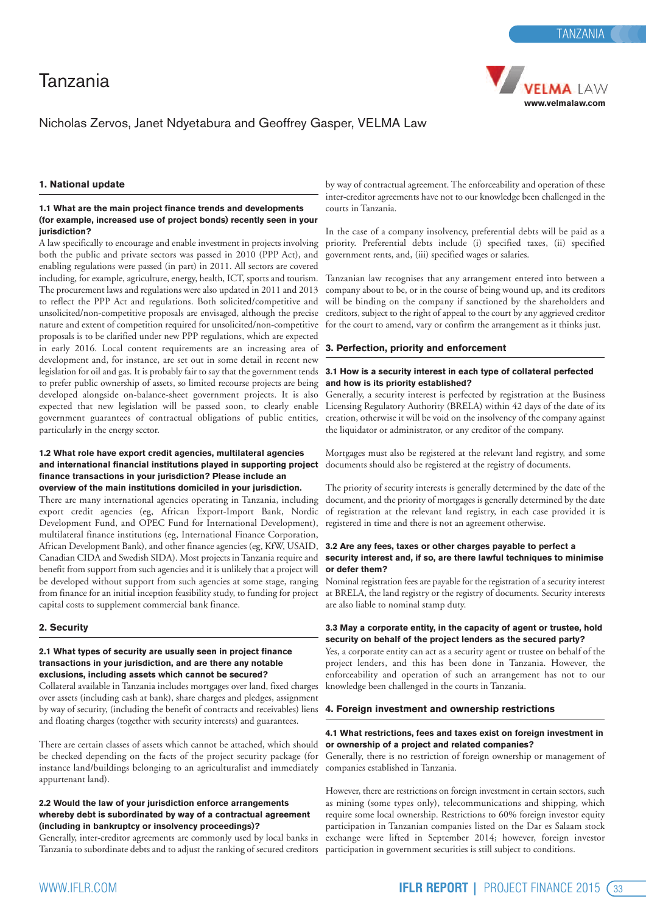

#### Nicholas Zervos, Janet Ndyetabura and Geoffrey Gasper, VELMA Law

#### **1. National update**

#### **1.1 What are the main project finance trends and developments (for example, increased use of project bonds) recently seen in your jurisdiction?**

A law specifically to encourage and enable investment in projects involving both the public and private sectors was passed in 2010 (PPP Act), and enabling regulations were passed (in part) in 2011. All sectors are covered including, for example, agriculture, energy, health, ICT, sports and tourism. The procurement laws and regulations were also updated in 2011 and 2013 to reflect the PPP Act and regulations. Both solicited/competitive and unsolicited/non-competitive proposals are envisaged, although the precise nature and extent of competition required for unsolicited/non-competitive proposals is to be clarified under new PPP regulations, which are expected in early 2016. Local content requirements are an increasing area of development and, for instance, are set out in some detail in recent new legislation for oil and gas. It is probably fair to say that the government tends to prefer public ownership of assets, so limited recourse projects are being developed alongside on-balance-sheet government projects. It is also expected that new legislation will be passed soon, to clearly enable government guarantees of contractual obligations of public entities, particularly in the energy sector.

#### **1.2 What role have export credit agencies, multilateral agencies and international financial institutions played in supporting project finance transactions in your jurisdiction? Please include an overview of the main institutions domiciled in your jurisdiction.**

There are many international agencies operating in Tanzania, including export credit agencies (eg, African Export-Import Bank, Nordic Development Fund, and OPEC Fund for International Development), multilateral finance institutions (eg, International Finance Corporation, African Development Bank), and other finance agencies (eg, KfW, USAID, Canadian CIDA and Swedish SIDA). Most projects inTanzania require and benefit from support from such agencies and it is unlikely that a project will be developed without support from such agencies at some stage, ranging from finance for an initial inception feasibility study, to funding for project capital costs to supplement commercial bank finance.

#### **2. Security**

#### **2.1 What types of security are usually seen in project finance transactions in your jurisdiction, and are there any notable exclusions, including assets which cannot be secured?**

Collateral available in Tanzania includes mortgages over land, fixed charges over assets (including cash at bank), share charges and pledges, assignment by way of security, (including the benefit of contracts and receivables) liens **4. Foreign investment and ownership restrictions** and floating charges (together with security interests) and guarantees.

There are certain classes of assets which cannot be attached, which should **or ownership of a project and related companies?** be checked depending on the facts of the project security package (for Generally, there is no restriction of foreign ownership or management of instance land/buildings belonging to an agriculturalist and immediately companies established in Tanzania. appurtenant land).

#### **2.2 Would the law of your jurisdiction enforce arrangements whereby debt is subordinated by way of a contractual agreement (including in bankruptcy or insolvency proceedings)?**

Generally, inter-creditor agreements are commonly used by local banks in Tanzania to subordinate debts and to adjust the ranking of secured creditors

by way of contractual agreement. The enforceability and operation of these inter-creditor agreements have not to our knowledge been challenged in the courts in Tanzania.

In the case of a company insolvency, preferential debts will be paid as a priority. Preferential debts include (i) specified taxes, (ii) specified government rents, and, (iii) specified wages or salaries.

Tanzanian law recognises that any arrangement entered into between a company about to be, or in the course of being wound up, and its creditors will be binding on the company if sanctioned by the shareholders and creditors, subject to the right of appeal to the court by any aggrieved creditor for the court to amend, vary or confirm the arrangement as it thinks just.

#### **3. Perfection, priority and enforcement**

#### **3.1 How is a security interest in each type of collateral perfected and how is its priority established?**

Generally, a security interest is perfected by registration at the Business Licensing Regulatory Authority (BRELA) within 42 days of the date of its creation, otherwise it will be void on the insolvency of the company against the liquidator or administrator, or any creditor of the company.

Mortgages must also be registered at the relevant land registry, and some documents should also be registered at the registry of documents.

The priority of security interests is generally determined by the date of the document, and the priority of mortgages is generally determined by the date of registration at the relevant land registry, in each case provided it is registered in time and there is not an agreement otherwise.

#### **3.2 Are any fees, taxes or other charges payable to perfect a security interest and, if so, are there lawful techniques to minimise or defer them?**

Nominal registration fees are payable for the registration of a security interest at BRELA, the land registry or the registry of documents. Security interests are also liable to nominal stamp duty.

#### **3.3 May a corporate entity, in the capacity of agent or trustee, hold security on behalf of the project lenders as the secured party?**

Yes, a corporate entity can act as a security agent or trustee on behalf of the project lenders, and this has been done in Tanzania. However, the enforceability and operation of such an arrangement has not to our knowledge been challenged in the courts in Tanzania.

### **4.1 What restrictions, fees and taxes exist on foreign investment in**

However, there are restrictions on foreign investment in certain sectors, such as mining (some types only), telecommunications and shipping, which require some local ownership. Restrictions to 60% foreign investor equity participation in Tanzanian companies listed on the Dar es Salaam stock exchange were lifted in September 2014; however, foreign investor participation in government securities is still subject to conditions.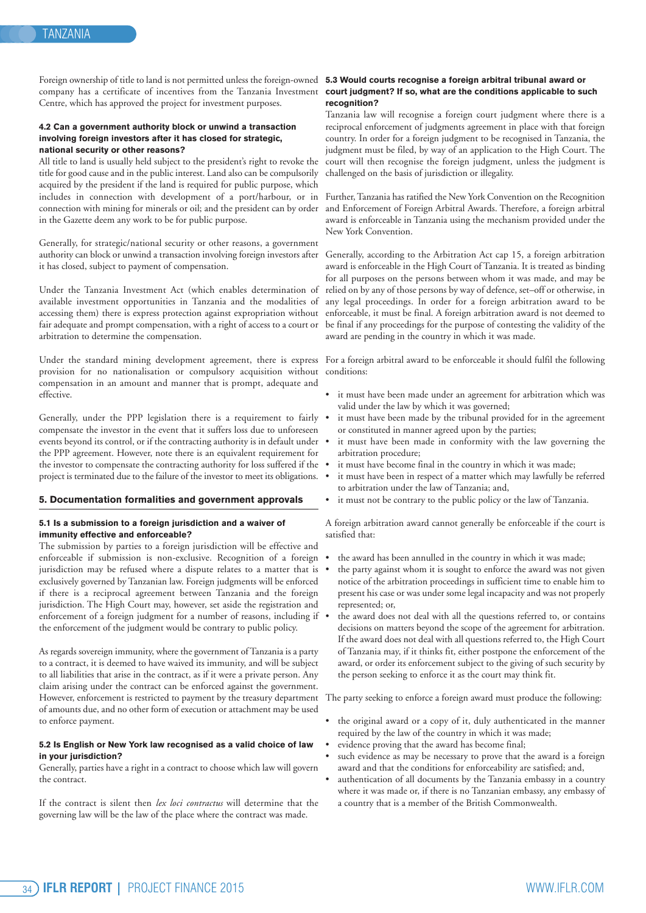Foreign ownership of title to land is not permitted unless the foreign-owned **5.3 Would courts recognise a foreign arbitral tribunal award or** company has a certificate of incentives from the Tanzania Investment **court judgment? If so, what are the conditions applicable to such** Centre, which has approved the project for investment purposes.

#### **4.2 Can a government authority block or unwind a transaction involving foreign investors after it has closed for strategic, national security or other reasons?**

All title to land is usually held subject to the president's right to revoke the title for good cause and in the public interest. Land also can be compulsorily acquired by the president if the land is required for public purpose, which includes in connection with development of a port/harbour, or in Further,Tanzania has ratified the New York Convention on the Recognition connection with mining for minerals or oil; and the president can by order in the Gazette deem any work to be for public purpose.

Generally, for strategic/national security or other reasons, a government authority can block or unwind a transaction involving foreign investors after it has closed, subject to payment of compensation.

Under the Tanzania Investment Act (which enables determination of available investment opportunities in Tanzania and the modalities of accessing them) there is express protection against expropriation without fair adequate and prompt compensation, with a right of access to a court or arbitration to determine the compensation.

Under the standard mining development agreement, there is express provision for no nationalisation or compulsory acquisition without compensation in an amount and manner that is prompt, adequate and effective.

Generally, under the PPP legislation there is a requirement to fairly . compensate the investor in the event that it suffers loss due to unforeseen events beyond its control, or if the contracting authority is in default under the PPP agreement. However, note there is an equivalent requirement for the investor to compensate the contracting authority for loss suffered if the  $\bullet$ project is terminated due to the failure of the investor to meet its obligations.

#### **5. Documentation formalities and government approvals**

#### **5.1 Is a submission to a foreign jurisdiction and a waiver of immunity effective and enforceable?**

The submission by parties to a foreign jurisdiction will be effective and enforceable if submission is non-exclusive. Recognition of a foreign jurisdiction may be refused where a dispute relates to a matter that is exclusively governed by Tanzanian law. Foreign judgments will be enforced if there is a reciprocal agreement between Tanzania and the foreign jurisdiction. The High Court may, however, set aside the registration and enforcement of a foreign judgment for a number of reasons, including if . the enforcement of the judgment would be contrary to public policy.

As regards sovereign immunity, where the government ofTanzania is a party to a contract, it is deemed to have waived its immunity, and will be subject to all liabilities that arise in the contract, as if it were a private person. Any claim arising under the contract can be enforced against the government. However, enforcement is restricted to payment by the treasury department The party seeking to enforce a foreign award must produce the following: of amounts due, and no other form of execution or attachment may be used to enforce payment.

#### **5.2 Is English or New York law recognised as a valid choice of law in your jurisdiction?**

Generally, parties have a right in a contract to choose which law will govern the contract.

If the contract is silent then *lex loci contractus* will determine that the governing law will be the law of the place where the contract was made.

## **recognition?**

Tanzania law will recognise a foreign court judgment where there is a reciprocal enforcement of judgments agreement in place with that foreign country. In order for a foreign judgment to be recognised in Tanzania, the judgment must be filed, by way of an application to the High Court. The court will then recognise the foreign judgment, unless the judgment is challenged on the basis of jurisdiction or illegality.

and Enforcement of Foreign Arbitral Awards. Therefore, a foreign arbitral award is enforceable in Tanzania using the mechanism provided under the New York Convention.

Generally, according to the Arbitration Act cap 15, a foreign arbitration award is enforceable in the High Court of Tanzania. It is treated as binding for all purposes on the persons between whom it was made, and may be relied on by any of those persons by way of defence, set–off or otherwise, in any legal proceedings. In order for a foreign arbitration award to be enforceable, it must be final. A foreign arbitration award is not deemed to be final if any proceedings for the purpose of contesting the validity of the award are pending in the country in which it was made.

For a foreign arbitral award to be enforceable it should fulfil the following conditions:

- it must have been made under an agreement for arbitration which was valid under the law by which it was governed;
- it must have been made by the tribunal provided for in the agreement or constituted in manner agreed upon by the parties;
- it must have been made in conformity with the law governing the arbitration procedure;
- it must have become final in the country in which it was made;
- it must have been in respect of a matter which may lawfully be referred to arbitration under the law of Tanzania; and,
- it must not be contrary to the public policy or the law of Tanzania.

A foreign arbitration award cannot generally be enforceable if the court is satisfied that:

- the award has been annulled in the country in which it was made;
- the party against whom it is sought to enforce the award was not given notice of the arbitration proceedings in sufficient time to enable him to present his case or was under some legal incapacity and was not properly represented; or,
- the award does not deal with all the questions referred to, or contains decisions on matters beyond the scope of the agreement for arbitration. If the award does not deal with all questions referred to, the High Court of Tanzania may, if it thinks fit, either postpone the enforcement of the award, or order its enforcement subject to the giving of such security by the person seeking to enforce it as the court may think fit.

- the original award or a copy of it, duly authenticated in the manner required by the law of the country in which it was made;
- evidence proving that the award has become final;
- such evidence as may be necessary to prove that the award is a foreign award and that the conditions for enforceability are satisfied; and,
- authentication of all documents by the Tanzania embassy in a country where it was made or, if there is no Tanzanian embassy, any embassy of a country that is a member of the British Commonwealth.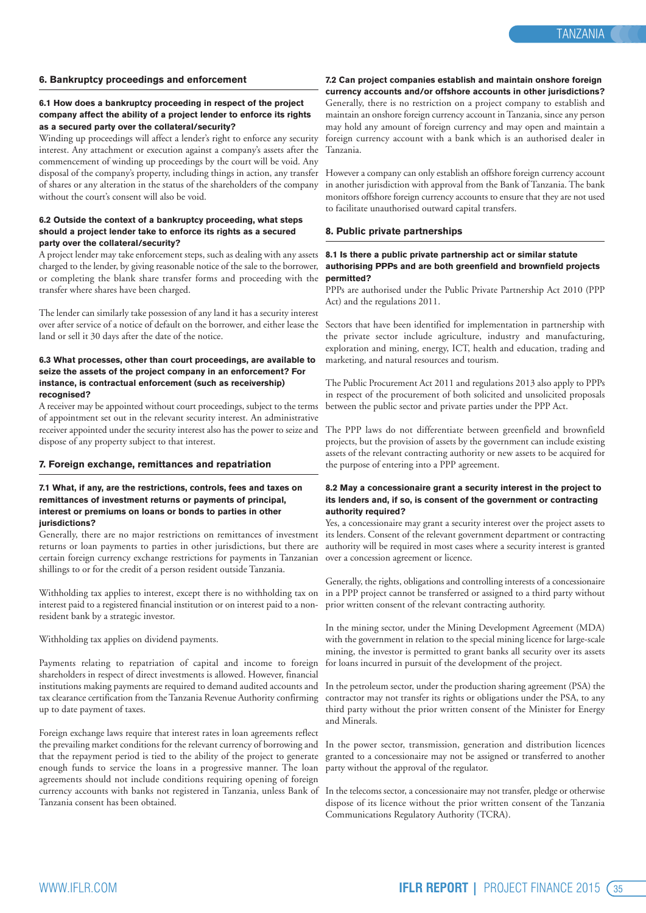#### **6. Bankruptcy proceedings and enforcement**

#### **6.1 How does a bankruptcy proceeding in respect of the project company affect the ability of a project lender to enforce its rights as a secured party over the collateral/security?**

Winding up proceedings will affect a lender's right to enforce any security interest. Any attachment or execution against a company's assets after the commencement of winding up proceedings by the court will be void. Any disposal of the company's property, including things in action, any transfer of shares or any alteration in the status of the shareholders of the company without the court's consent will also be void.

#### **6.2 Outside the context of a bankruptcy proceeding, what steps should a project lender take to enforce its rights as a secured party over the collateral/security?**

A project lender may take enforcement steps, such as dealing with any assets charged to the lender, by giving reasonable notice of the sale to the borrower, or completing the blank share transfer forms and proceeding with the **permitted?** transfer where shares have been charged.

The lender can similarly take possession of any land it has a security interest over after service of a notice of default on the borrower, and either lease the Sectors that have been identified for implementation in partnership with land or sell it 30 days after the date of the notice.

#### **6.3 What processes, other than court proceedings, are available to seize the assets of the project company in an enforcement? For instance, is contractual enforcement (such as receivership) recognised?**

A receiver may be appointed without court proceedings, subject to the terms of appointment set out in the relevant security interest. An administrative receiver appointed under the security interest also has the power to seize and dispose of any property subject to that interest.

#### **7. Foreign exchange, remittances and repatriation**

#### **7.1 What, if any, are the restrictions, controls, fees and taxes on remittances of investment returns or payments of principal, interest or premiums on loans or bonds to parties in other jurisdictions?**

Generally, there are no major restrictions on remittances of investment returns or loan payments to parties in other jurisdictions, but there are certain foreign currency exchange restrictions for payments in Tanzanian over a concession agreement or licence. shillings to or for the credit of a person resident outside Tanzania.

Withholding tax applies to interest, except there is no withholding tax on interest paid to a registered financial institution or on interest paid to a nonresident bank by a strategic investor.

Withholding tax applies on dividend payments.

Payments relating to repatriation of capital and income to foreign shareholders in respect of direct investments is allowed. However, financial institutions making payments are required to demand audited accounts and tax clearance certification from theTanzania Revenue Authority confirming up to date payment of taxes.

Foreign exchange laws require that interest rates in loan agreements reflect the prevailing market conditions for the relevant currency of borrowing and In the power sector, transmission, generation and distribution licences that the repayment period is tied to the ability of the project to generate enough funds to service the loans in a progressive manner. The loan agreements should not include conditions requiring opening of foreign currency accounts with banks not registered in Tanzania, unless Bank of Tanzania consent has been obtained.

**7.2 Can project companies establish and maintain onshore foreign currency accounts and/or offshore accounts in other jurisdictions?** Generally, there is no restriction on a project company to establish and maintain an onshore foreign currency account inTanzania, since any person may hold any amount of foreign currency and may open and maintain a foreign currency account with a bank which is an authorised dealer in Tanzania.

However a company can only establish an offshore foreign currency account in another jurisdiction with approval from the Bank of Tanzania. The bank monitors offshore foreign currency accounts to ensure that they are not used to facilitate unauthorised outward capital transfers.

#### **8. Public private partnerships**

#### **8.1 Is there a public private partnership act or similar statute authorising PPPs and are both greenfield and brownfield projects**

PPPs are authorised under the Public Private Partnership Act 2010 (PPP Act) and the regulations 2011.

the private sector include agriculture, industry and manufacturing, exploration and mining, energy, ICT, health and education, trading and marketing, and natural resources and tourism.

The Public Procurement Act 2011 and regulations 2013 also apply to PPPs in respect of the procurement of both solicited and unsolicited proposals between the public sector and private parties under the PPP Act.

The PPP laws do not differentiate between greenfield and brownfield projects, but the provision of assets by the government can include existing assets of the relevant contracting authority or new assets to be acquired for the purpose of entering into a PPP agreement.

#### **8.2 May a concessionaire grant a security interest in the project to its lenders and, if so, is consent of the government or contracting authority required?**

Yes, a concessionaire may grant a security interest over the project assets to its lenders. Consent of the relevant government department or contracting authority will be required in most cases where a security interest is granted

Generally, the rights, obligations and controlling interests of a concessionaire in a PPP project cannot be transferred or assigned to a third party without prior written consent of the relevant contracting authority.

In the mining sector, under the Mining Development Agreement (MDA) with the government in relation to the special mining licence for large-scale mining, the investor is permitted to grant banks all security over its assets for loans incurred in pursuit of the development of the project.

In the petroleum sector, under the production sharing agreement (PSA) the contractor may not transfer its rights or obligations under the PSA, to any third party without the prior written consent of the Minister for Energy and Minerals.

granted to a concessionaire may not be assigned or transferred to another party without the approval of the regulator.

In the telecoms sector, a concessionaire may not transfer, pledge or otherwise dispose of its licence without the prior written consent of the Tanzania Communications Regulatory Authority (TCRA).